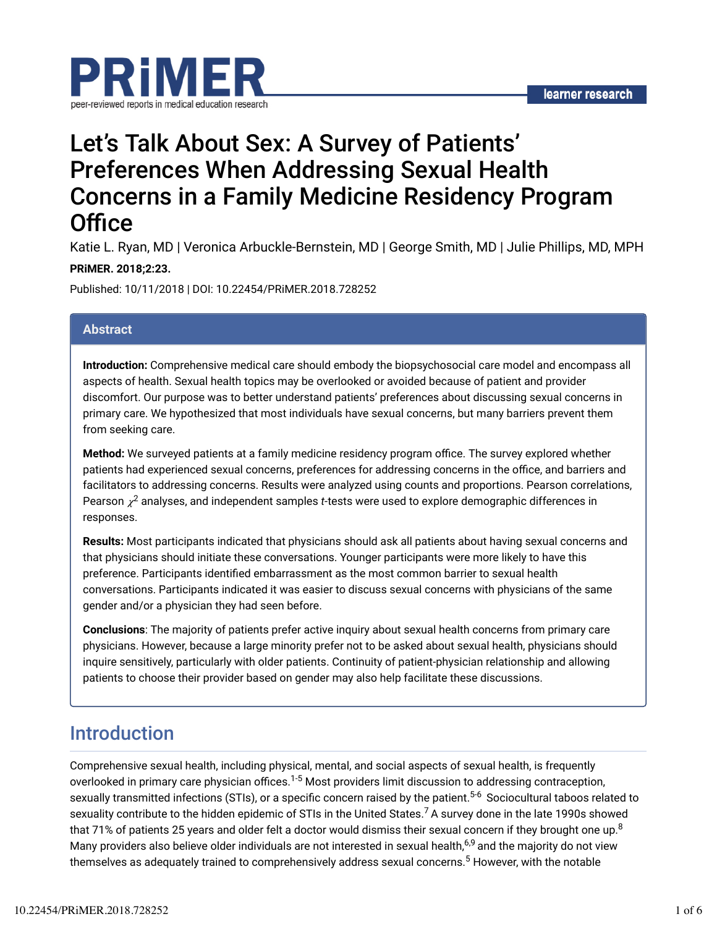

# Let's Talk About Sex: A Survey of Patients' Preferences When Addressing Sexual Health Concerns in a Family Medicine Residency Program Office

Katie L. Ryan, MD | Veronica Arbuckle-Bernstein, MD | George Smith, MD | Julie Phillips, MD, MPH **PRiMER. 2018;2:23.**

Published: 10/11/2018 | DOI: 10.22454/PRiMER.2018.728252

#### **Abstract**

**Introduction:** Comprehensive medical care should embody the biopsychosocial care model and encompass all aspects of health. Sexual health topics may be overlooked or avoided because of patient and provider discomfort. Our purpose was to better understand patients' preferences about discussing sexual concerns in primary care. We hypothesized that most individuals have sexual concerns, but many barriers prevent them from seeking care.

**Method:** We surveyed patients at a family medicine residency program office. The survey explored whether patients had experienced sexual concerns, preferences for addressing concerns in the office, and barriers and facilitators to addressing concerns. Results were analyzed using counts and proportions. Pearson correlations, Pearson  $\chi^2$  analyses, and independent samples  $t$ -tests were used to explore demographic differences in responses.

**Results:** Most participants indicated that physicians should ask all patients about having sexual concerns and that physicians should initiate these conversations. Younger participants were more likely to have this preference. Participants identified embarrassment as the most common barrier to sexual health conversations. Participants indicated it was easier to discuss sexual concerns with physicians of the same gender and/or a physician they had seen before.

**Conclusions**: The majority of patients prefer active inquiry about sexual health concerns from primary care physicians. However, because a large minority prefer not to be asked about sexual health, physicians should inquire sensitively, particularly with older patients. Continuity of patient-physician relationship and allowing patients to choose their provider based on gender may also help facilitate these discussions.

# Introduction

Comprehensive sexual health, including physical, mental, and social aspects of sexual health, is frequently overlooked in primary care physician offices.<sup>1-5</sup> Most providers limit discussion to addressing contraception, sexually transmitted infections (STIs), or a specific concern raised by the patient.<sup>5-6</sup> Sociocultural taboos related to sexuality contribute to the hidden epidemic of STIs in the United States.<sup>7</sup> A survey done in the late 1990s showed that 71% of patients 25 years and older felt a doctor would dismiss their sexual concern if they brought one up. $^8$ Many providers also believe older individuals are not interested in sexual health,<sup>6,9</sup> and the majority do not view themselves as adequately trained to comprehensively address sexual concerns. $^5$  However, with the notable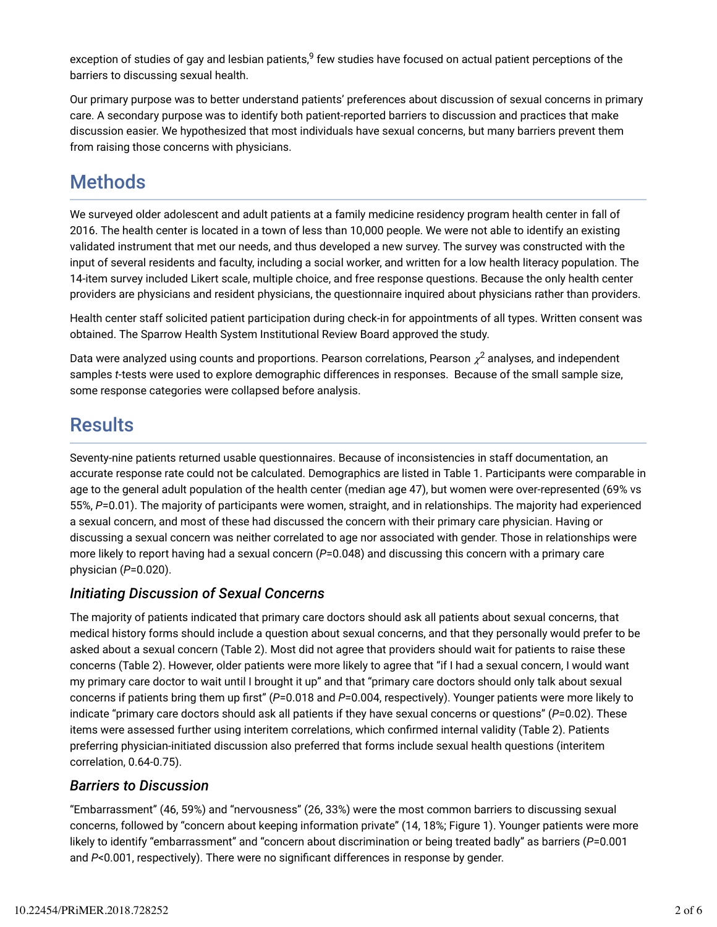exception of studies of gay and lesbian patients, $^9$  few studies have focused on actual patient perceptions of the barriers to discussing sexual health.

Our primary purpose was to better understand patients' preferences about discussion of sexual concerns in primary care. A secondary purpose was to identify both patient-reported barriers to discussion and practices that make discussion easier. We hypothesized that most individuals have sexual concerns, but many barriers prevent them from raising those concerns with physicians.

# **Methods**

We surveyed older adolescent and adult patients at a family medicine residency program health center in fall of 2016. The health center is located in a town of less than 10,000 people. We were not able to identify an existing validated instrument that met our needs, and thus developed a new survey. The survey was constructed with the input of several residents and faculty, including a social worker, and written for a low health literacy population. The 14-item survey included Likert scale, multiple choice, and free response questions. Because the only health center providers are physicians and resident physicians, the questionnaire inquired about physicians rather than providers.

Health center staff solicited patient participation during check-in for appointments of all types. Written consent was obtained. The Sparrow Health System Institutional Review Board approved the study.

Data were analyzed using counts and proportions. Pearson correlations, Pearson  $\chi^2$  analyses, and independent samples *t*-tests were used to explore demographic differences in responses. Because of the small sample size, some response categories were collapsed before analysis.

# **Results**

Seventy-nine patients returned usable questionnaires. Because of inconsistencies in staff documentation, an accurate response rate could not be calculated. Demographics are listed in Table 1. Participants were comparable in age to the general adult population of the health center (median age 47), but women were over-represented (69% vs 55%, *P*=0.01). The majority of participants were women, straight, and in relationships. The majority had experienced a sexual concern, and most of these had discussed the concern with their primary care physician. Having or discussing a sexual concern was neither correlated to age nor associated with gender. Those in relationships were more likely to report having had a sexual concern (P=0.048) and discussing this concern with a primary care physician (*P*=0.020).

## *Initiating Discussion of Sexual Concerns*

The majority of patients indicated that primary care doctors should ask all patients about sexual concerns, that medical history forms should include a question about sexual concerns, and that they personally would prefer to be asked about a sexual concern (Table 2). Most did not agree that providers should wait for patients to raise these concerns (Table 2). However, older patients were more likely to agree that "if I had a sexual concern, I would want my primary care doctor to wait until I brought it up" and that "primary care doctors should only talk about sexual concerns if patients bring them up first" (*P*=0.018 and *P*=0.004, respectively). Younger patients were more likely to indicate "primary care doctors should ask all patients if they have sexual concerns or questions" (*P*=0.02). These items were assessed further using interitem correlations, which confirmed internal validity (Table 2). Patients preferring physician-initiated discussion also preferred that forms include sexual health questions (interitem correlation, 0.64-0.75).

### *Barriers to Discussion*

"Embarrassment" (46, 59%) and "nervousness" (26, 33%) were the most common barriers to discussing sexual concerns, followed by "concern about keeping information private" (14, 18%; Figure 1). Younger patients were more likely to identify "embarrassment" and "concern about discrimination or being treated badly" as barriers (*P*=0.001 and *P*<0.001, respectively). There were no significant differences in response by gender.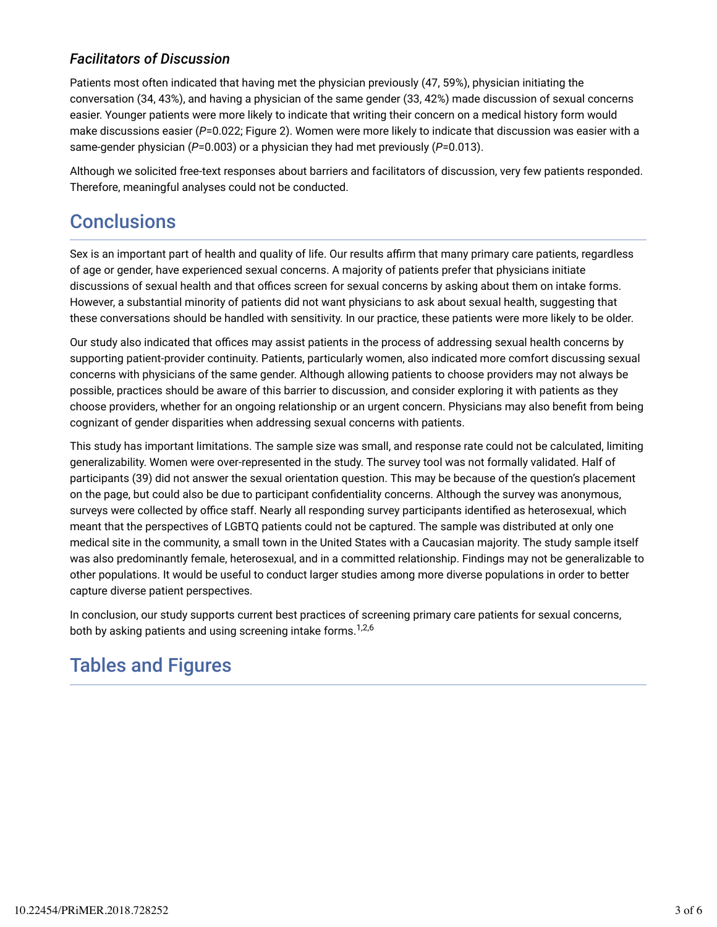## *Facilitators of Discussion*

Patients most often indicated that having met the physician previously (47, 59%), physician initiating the conversation (34, 43%), and having a physician of the same gender (33, 42%) made discussion of sexual concerns easier. Younger patients were more likely to indicate that writing their concern on a medical history form would make discussions easier (P=0.022; Figure 2). Women were more likely to indicate that discussion was easier with a same-gender physician (*P*=0.003) or a physician they had met previously (*P*=0.013).

Although we solicited free-text responses about barriers and facilitators of discussion, very few patients responded. Therefore, meaningful analyses could not be conducted.

# **Conclusions**

Sex is an important part of health and quality of life. Our results affirm that many primary care patients, regardless of age or gender, have experienced sexual concerns. A majority of patients prefer that physicians initiate discussions of sexual health and that offices screen for sexual concerns by asking about them on intake forms. However, a substantial minority of patients did not want physicians to ask about sexual health, suggesting that these conversations should be handled with sensitivity. In our practice, these patients were more likely to be older.

Our study also indicated that offices may assist patients in the process of addressing sexual health concerns by supporting patient-provider continuity. Patients, particularly women, also indicated more comfort discussing sexual concerns with physicians of the same gender. Although allowing patients to choose providers may not always be possible, practices should be aware of this barrier to discussion, and consider exploring it with patients as they choose providers, whether for an ongoing relationship or an urgent concern. Physicians may also benefit from being cognizant of gender disparities when addressing sexual concerns with patients.

This study has important limitations. The sample size was small, and response rate could not be calculated, limiting generalizability. Women were over-represented in the study. The survey tool was not formally validated. Half of participants (39) did not answer the sexual orientation question. This may be because of the question's placement on the page, but could also be due to participant confidentiality concerns. Although the survey was anonymous, surveys were collected by office staff. Nearly all responding survey participants identified as heterosexual, which meant that the perspectives of LGBTQ patients could not be captured. The sample was distributed at only one medical site in the community, a small town in the United States with a Caucasian majority. The study sample itself was also predominantly female, heterosexual, and in a committed relationship. Findings may not be generalizable to other populations. It would be useful to conduct larger studies among more diverse populations in order to better capture diverse patient perspectives.

In conclusion, our study supports current best practices of screening primary care patients for sexual concerns, both by asking patients and using screening intake forms.<sup>1,2,6</sup>

# Tables and Figures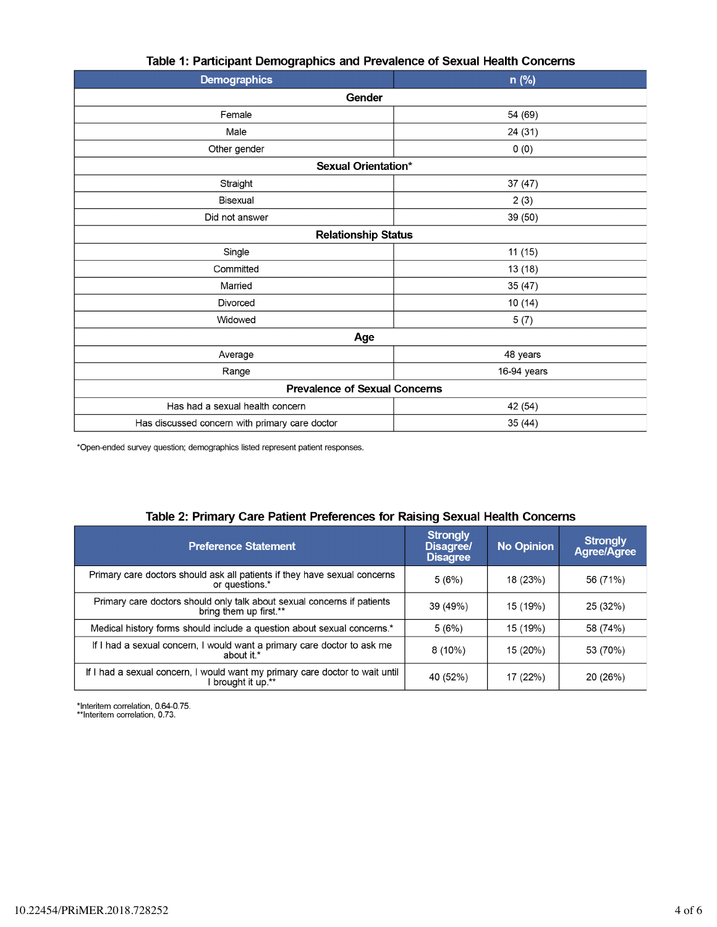| $1.1.4.0.00$ and $2.0.00$ and $2.00$ and $1.00$ . |             |  |  |  |  |  |
|---------------------------------------------------|-------------|--|--|--|--|--|
| <b>Demographics</b>                               | n (%)       |  |  |  |  |  |
| Gender                                            |             |  |  |  |  |  |
| Female                                            | 54 (69)     |  |  |  |  |  |
| Male                                              | 24 (31)     |  |  |  |  |  |
| Other gender                                      | 0(0)        |  |  |  |  |  |
| <b>Sexual Orientation*</b>                        |             |  |  |  |  |  |
| Straight                                          | 37 (47)     |  |  |  |  |  |
| Bisexual                                          | 2(3)        |  |  |  |  |  |
| Did not answer                                    | 39 (50)     |  |  |  |  |  |
| <b>Relationship Status</b>                        |             |  |  |  |  |  |
| Single                                            | 11(15)      |  |  |  |  |  |
| Committed                                         | 13 (18)     |  |  |  |  |  |
| Married                                           | 35(47)      |  |  |  |  |  |
| <b>Divorced</b>                                   | 10(14)      |  |  |  |  |  |
| Widowed                                           | 5(7)        |  |  |  |  |  |
| Age                                               |             |  |  |  |  |  |
| Average                                           | 48 years    |  |  |  |  |  |
| Range                                             | 16-94 years |  |  |  |  |  |
| <b>Prevalence of Sexual Concerns</b>              |             |  |  |  |  |  |
| Has had a sexual health concern                   | 42 (54)     |  |  |  |  |  |
| Has discussed concern with primary care doctor    | 35 (44)     |  |  |  |  |  |

#### Table 1: Participant Demographics and Prevalence of Sexual Health Concerns

\*Open-ended survey question; demographics listed represent patient responses.

| <b>Preference Statement</b>                                                                       | <b>Strongly</b><br><b>Disagree/</b><br><b>Disagree</b> | <b>No Opinion</b> | <b>Strongly</b><br>Agree/Agree |
|---------------------------------------------------------------------------------------------------|--------------------------------------------------------|-------------------|--------------------------------|
| Primary care doctors should ask all patients if they have sexual concerns<br>or questions.*       | 5(6%)                                                  | 18 (23%)          | 56 (71%)                       |
| Primary care doctors should only talk about sexual concerns if patients<br>bring them up first.** | 39 (49%)                                               | 15 (19%)          | 25 (32%)                       |
| Medical history forms should include a question about sexual concerns.*                           | 5(6%)                                                  | 15 (19%)          | 58 (74%)                       |
| If I had a sexual concern, I would want a primary care doctor to ask me<br>about it.*             | $8(10\%)$                                              | 15 (20%)          | 53 (70%)                       |
| If I had a sexual concern, I would want my primary care doctor to wait until<br>brought it up.**  | 40 (52%)                                               | 17 (22%)          | 20 (26%)                       |

| Table 2: Primary Care Patient Preferences for Raising Sexual Health Concerns |  |  |  |
|------------------------------------------------------------------------------|--|--|--|
|                                                                              |  |  |  |

\*Interitem correlation, 0.64-0.75.<br>\*\*Interitem correlation, 0.73.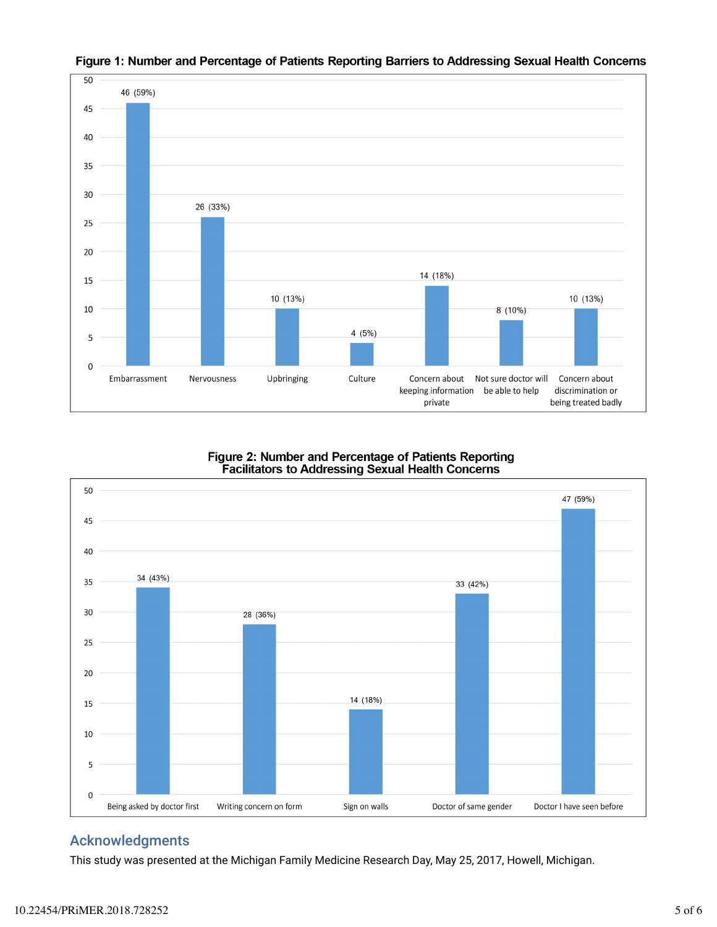



#### Figure 2: Number and Percentage of Patients Reporting **Facilitators to Addressing Sexual Health Concerns**

## Acknowledgments

This study was presented at the Michigan Family Medicine Research Day, May 25, 2017, Howell, Michigan.